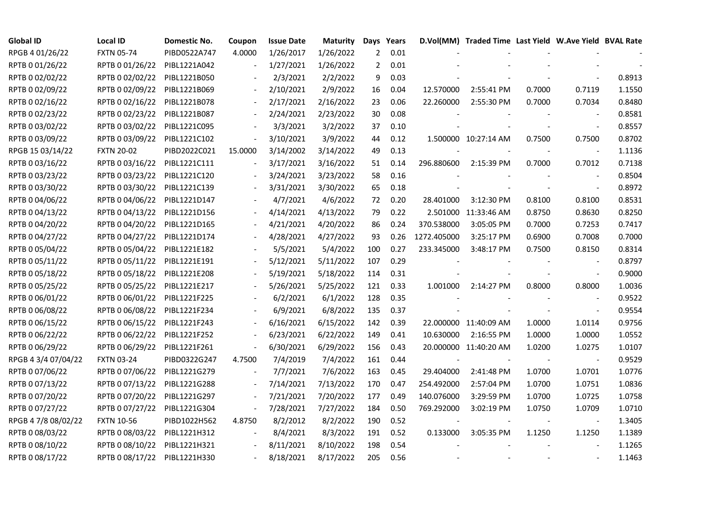| <b>Global ID</b>    | <b>Local ID</b>   | Domestic No. | Coupon                   | <b>Issue Date</b> | <b>Maturity</b> |                | Days Years |             | D.Vol(MM) Traded Time Last Yield W.Ave Yield BVAL Rate |        |                          |        |
|---------------------|-------------------|--------------|--------------------------|-------------------|-----------------|----------------|------------|-------------|--------------------------------------------------------|--------|--------------------------|--------|
| RPGB 4 01/26/22     | <b>FXTN 05-74</b> | PIBD0522A747 | 4.0000                   | 1/26/2017         | 1/26/2022       | $\overline{2}$ | 0.01       |             |                                                        |        |                          |        |
| RPTB 0 01/26/22     | RPTB 0 01/26/22   | PIBL1221A042 |                          | 1/27/2021         | 1/26/2022       | $\overline{2}$ | 0.01       |             |                                                        |        |                          |        |
| RPTB 0 02/02/22     | RPTB 0 02/02/22   | PIBL1221B050 |                          | 2/3/2021          | 2/2/2022        | 9              | 0.03       |             |                                                        |        |                          | 0.8913 |
| RPTB 0 02/09/22     | RPTB 0 02/09/22   | PIBL1221B069 | $\blacksquare$           | 2/10/2021         | 2/9/2022        | 16             | 0.04       | 12.570000   | 2:55:41 PM                                             | 0.7000 | 0.7119                   | 1.1550 |
| RPTB 0 02/16/22     | RPTB 0 02/16/22   | PIBL1221B078 | $\blacksquare$           | 2/17/2021         | 2/16/2022       | 23             | 0.06       | 22.260000   | 2:55:30 PM                                             | 0.7000 | 0.7034                   | 0.8480 |
| RPTB 0 02/23/22     | RPTB 0 02/23/22   | PIBL1221B087 |                          | 2/24/2021         | 2/23/2022       | 30             | 0.08       |             |                                                        |        |                          | 0.8581 |
| RPTB 0 03/02/22     | RPTB 0 03/02/22   | PIBL1221C095 |                          | 3/3/2021          | 3/2/2022        | 37             | 0.10       |             |                                                        |        | $\blacksquare$           | 0.8557 |
| RPTB 0 03/09/22     | RPTB 0 03/09/22   | PIBL1221C102 | $\blacksquare$           | 3/10/2021         | 3/9/2022        | 44             | 0.12       |             | 1.500000 10:27:14 AM                                   | 0.7500 | 0.7500                   | 0.8702 |
| RPGB 15 03/14/22    | <b>FXTN 20-02</b> | PIBD2022C021 | 15.0000                  | 3/14/2002         | 3/14/2022       | 49             | 0.13       |             |                                                        |        |                          | 1.1136 |
| RPTB 0 03/16/22     | RPTB 0 03/16/22   | PIBL1221C111 | $\blacksquare$           | 3/17/2021         | 3/16/2022       | 51             | 0.14       | 296.880600  | 2:15:39 PM                                             | 0.7000 | 0.7012                   | 0.7138 |
| RPTB 0 03/23/22     | RPTB 0 03/23/22   | PIBL1221C120 | $\blacksquare$           | 3/24/2021         | 3/23/2022       | 58             | 0.16       |             |                                                        |        | $\overline{\phantom{a}}$ | 0.8504 |
| RPTB 0 03/30/22     | RPTB 0 03/30/22   | PIBL1221C139 |                          | 3/31/2021         | 3/30/2022       | 65             | 0.18       |             |                                                        |        | $\sim$                   | 0.8972 |
| RPTB 0 04/06/22     | RPTB 0 04/06/22   | PIBL1221D147 |                          | 4/7/2021          | 4/6/2022        | 72             | 0.20       | 28.401000   | 3:12:30 PM                                             | 0.8100 | 0.8100                   | 0.8531 |
| RPTB 0 04/13/22     | RPTB 0 04/13/22   | PIBL1221D156 |                          | 4/14/2021         | 4/13/2022       | 79             | 0.22       |             | 2.501000 11:33:46 AM                                   | 0.8750 | 0.8630                   | 0.8250 |
| RPTB 0 04/20/22     | RPTB 0 04/20/22   | PIBL1221D165 |                          | 4/21/2021         | 4/20/2022       | 86             | 0.24       | 370.538000  | 3:05:05 PM                                             | 0.7000 | 0.7253                   | 0.7417 |
| RPTB 0 04/27/22     | RPTB 0 04/27/22   | PIBL1221D174 |                          | 4/28/2021         | 4/27/2022       | 93             | 0.26       | 1272.405000 | 3:25:17 PM                                             | 0.6900 | 0.7008                   | 0.7000 |
| RPTB 0 05/04/22     | RPTB 0 05/04/22   | PIBL1221E182 |                          | 5/5/2021          | 5/4/2022        | 100            | 0.27       | 233.345000  | 3:48:17 PM                                             | 0.7500 | 0.8150                   | 0.8314 |
| RPTB 0 05/11/22     | RPTB 0 05/11/22   | PIBL1221E191 | $\overline{\phantom{a}}$ | 5/12/2021         | 5/11/2022       | 107            | 0.29       |             |                                                        |        |                          | 0.8797 |
| RPTB 0 05/18/22     | RPTB 0 05/18/22   | PIBL1221E208 |                          | 5/19/2021         | 5/18/2022       | 114            | 0.31       |             |                                                        |        | $\sim$                   | 0.9000 |
| RPTB 0 05/25/22     | RPTB 0 05/25/22   | PIBL1221E217 |                          | 5/26/2021         | 5/25/2022       | 121            | 0.33       | 1.001000    | 2:14:27 PM                                             | 0.8000 | 0.8000                   | 1.0036 |
| RPTB 0 06/01/22     | RPTB 0 06/01/22   | PIBL1221F225 |                          | 6/2/2021          | 6/1/2022        | 128            | 0.35       |             |                                                        |        | $\sim$                   | 0.9522 |
| RPTB 0 06/08/22     | RPTB 0 06/08/22   | PIBL1221F234 |                          | 6/9/2021          | 6/8/2022        | 135            | 0.37       |             |                                                        |        | $\sim$                   | 0.9554 |
| RPTB 0 06/15/22     | RPTB 0 06/15/22   | PIBL1221F243 |                          | 6/16/2021         | 6/15/2022       | 142            | 0.39       |             | 22.000000 11:40:09 AM                                  | 1.0000 | 1.0114                   | 0.9756 |
| RPTB 0 06/22/22     | RPTB 0 06/22/22   | PIBL1221F252 |                          | 6/23/2021         | 6/22/2022       | 149            | 0.41       | 10.630000   | 2:16:55 PM                                             | 1.0000 | 1.0000                   | 1.0552 |
| RPTB 0 06/29/22     | RPTB 0 06/29/22   | PIBL1221F261 | $\blacksquare$           | 6/30/2021         | 6/29/2022       | 156            | 0.43       |             | 20.000000 11:40:20 AM                                  | 1.0200 | 1.0275                   | 1.0107 |
| RPGB 4 3/4 07/04/22 | <b>FXTN 03-24</b> | PIBD0322G247 | 4.7500                   | 7/4/2019          | 7/4/2022        | 161            | 0.44       |             |                                                        |        | $\blacksquare$           | 0.9529 |
| RPTB 0 07/06/22     | RPTB 0 07/06/22   | PIBL1221G279 |                          | 7/7/2021          | 7/6/2022        | 163            | 0.45       | 29.404000   | 2:41:48 PM                                             | 1.0700 | 1.0701                   | 1.0776 |
| RPTB 0 07/13/22     | RPTB 0 07/13/22   | PIBL1221G288 | $\overline{\phantom{a}}$ | 7/14/2021         | 7/13/2022       | 170            | 0.47       | 254.492000  | 2:57:04 PM                                             | 1.0700 | 1.0751                   | 1.0836 |
| RPTB 0 07/20/22     | RPTB 0 07/20/22   | PIBL1221G297 |                          | 7/21/2021         | 7/20/2022       | 177            | 0.49       | 140.076000  | 3:29:59 PM                                             | 1.0700 | 1.0725                   | 1.0758 |
| RPTB 0 07/27/22     | RPTB 0 07/27/22   | PIBL1221G304 | $\blacksquare$           | 7/28/2021         | 7/27/2022       | 184            | 0.50       | 769.292000  | 3:02:19 PM                                             | 1.0750 | 1.0709                   | 1.0710 |
| RPGB 4 7/8 08/02/22 | <b>FXTN 10-56</b> | PIBD1022H562 | 4.8750                   | 8/2/2012          | 8/2/2022        | 190            | 0.52       |             |                                                        |        | $\overline{\phantom{a}}$ | 1.3405 |
| RPTB 0 08/03/22     | RPTB 0 08/03/22   | PIBL1221H312 |                          | 8/4/2021          | 8/3/2022        | 191            | 0.52       | 0.133000    | 3:05:35 PM                                             | 1.1250 | 1.1250                   | 1.1389 |
| RPTB 0 08/10/22     | RPTB 0 08/10/22   | PIBL1221H321 |                          | 8/11/2021         | 8/10/2022       | 198            | 0.54       |             |                                                        |        |                          | 1.1265 |
| RPTB 0 08/17/22     | RPTB 0 08/17/22   | PIBL1221H330 |                          | 8/18/2021         | 8/17/2022       | 205            | 0.56       |             |                                                        |        |                          | 1.1463 |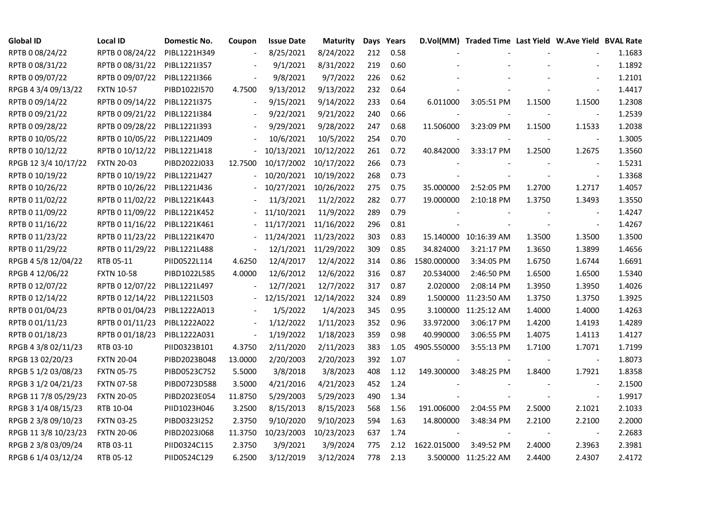| <b>Global ID</b>     | <b>Local ID</b>   | Domestic No. | Coupon                   | <b>Issue Date</b> | <b>Maturity</b>      |     | Days Years |             | D.Vol(MM) Traded Time Last Yield W.Ave Yield BVAL Rate |        |                          |        |
|----------------------|-------------------|--------------|--------------------------|-------------------|----------------------|-----|------------|-------------|--------------------------------------------------------|--------|--------------------------|--------|
| RPTB 0 08/24/22      | RPTB 0 08/24/22   | PIBL1221H349 |                          | 8/25/2021         | 8/24/2022            | 212 | 0.58       |             |                                                        |        |                          | 1.1683 |
| RPTB 0 08/31/22      | RPTB 0 08/31/22   | PIBL1221I357 |                          | 9/1/2021          | 8/31/2022            | 219 | 0.60       |             |                                                        |        |                          | 1.1892 |
| RPTB 0 09/07/22      | RPTB 0 09/07/22   | PIBL1221I366 |                          | 9/8/2021          | 9/7/2022             | 226 | 0.62       |             |                                                        |        |                          | 1.2101 |
| RPGB 4 3/4 09/13/22  | <b>FXTN 10-57</b> | PIBD1022I570 | 4.7500                   | 9/13/2012         | 9/13/2022            | 232 | 0.64       |             |                                                        |        |                          | 1.4417 |
| RPTB 0 09/14/22      | RPTB 0 09/14/22   | PIBL1221I375 | $\blacksquare$           | 9/15/2021         | 9/14/2022            | 233 | 0.64       | 6.011000    | 3:05:51 PM                                             | 1.1500 | 1.1500                   | 1.2308 |
| RPTB 0 09/21/22      | RPTB 0 09/21/22   | PIBL1221I384 |                          | 9/22/2021         | 9/21/2022            | 240 | 0.66       |             |                                                        |        |                          | 1.2539 |
| RPTB 0 09/28/22      | RPTB 0 09/28/22   | PIBL1221I393 |                          | 9/29/2021         | 9/28/2022            | 247 | 0.68       | 11.506000   | 3:23:09 PM                                             | 1.1500 | 1.1533                   | 1.2038 |
| RPTB 0 10/05/22      | RPTB 0 10/05/22   | PIBL1221J409 |                          | 10/6/2021         | 10/5/2022            | 254 | 0.70       |             |                                                        |        |                          | 1.3005 |
| RPTB 0 10/12/22      | RPTB 0 10/12/22   | PIBL1221J418 |                          | 10/13/2021        | 10/12/2022           | 261 | 0.72       | 40.842000   | 3:33:17 PM                                             | 1.2500 | 1.2675                   | 1.3560 |
| RPGB 12 3/4 10/17/22 | <b>FXTN 20-03</b> | PIBD2022J033 | 12.7500                  | 10/17/2002        | 10/17/2022           | 266 | 0.73       |             |                                                        |        |                          | 1.5231 |
| RPTB 0 10/19/22      | RPTB 0 10/19/22   | PIBL1221J427 |                          | 10/20/2021        | 10/19/2022           | 268 | 0.73       |             |                                                        |        |                          | 1.3368 |
| RPTB 0 10/26/22      | RPTB 0 10/26/22   | PIBL1221J436 |                          | 10/27/2021        | 10/26/2022           | 275 | 0.75       | 35.000000   | 2:52:05 PM                                             | 1.2700 | 1.2717                   | 1.4057 |
| RPTB 0 11/02/22      | RPTB 0 11/02/22   | PIBL1221K443 |                          | 11/3/2021         | 11/2/2022            | 282 | 0.77       | 19.000000   | 2:10:18 PM                                             | 1.3750 | 1.3493                   | 1.3550 |
| RPTB 0 11/09/22      | RPTB 0 11/09/22   | PIBL1221K452 |                          | 11/10/2021        | 11/9/2022            | 289 | 0.79       |             |                                                        |        | $\blacksquare$           | 1.4247 |
| RPTB 0 11/16/22      | RPTB 0 11/16/22   | PIBL1221K461 |                          | 11/17/2021        | 11/16/2022           | 296 | 0.81       |             |                                                        |        | $\bar{\phantom{a}}$      | 1.4267 |
| RPTB 0 11/23/22      | RPTB 0 11/23/22   | PIBL1221K470 |                          | 11/24/2021        | 11/23/2022           | 303 | 0.83       |             | 15.140000 10:16:39 AM                                  | 1.3500 | 1.3500                   | 1.3500 |
| RPTB 0 11/29/22      | RPTB 0 11/29/22   | PIBL1221L488 |                          |                   | 12/1/2021 11/29/2022 | 309 | 0.85       | 34.824000   | 3:21:17 PM                                             | 1.3650 | 1.3899                   | 1.4656 |
| RPGB 4 5/8 12/04/22  | RTB 05-11         | PIID0522L114 | 4.6250                   | 12/4/2017         | 12/4/2022            | 314 | 0.86       | 1580.000000 | 3:34:05 PM                                             | 1.6750 | 1.6744                   | 1.6691 |
| RPGB 4 12/06/22      | <b>FXTN 10-58</b> | PIBD1022L585 | 4.0000                   | 12/6/2012         | 12/6/2022            | 316 | 0.87       | 20.534000   | 2:46:50 PM                                             | 1.6500 | 1.6500                   | 1.5340 |
| RPTB 0 12/07/22      | RPTB 0 12/07/22   | PIBL1221L497 |                          | 12/7/2021         | 12/7/2022            | 317 | 0.87       | 2.020000    | 2:08:14 PM                                             | 1.3950 | 1.3950                   | 1.4026 |
| RPTB 0 12/14/22      | RPTB 0 12/14/22   | PIBL1221L503 | $\overline{\phantom{a}}$ | 12/15/2021        | 12/14/2022           | 324 | 0.89       |             | 1.500000 11:23:50 AM                                   | 1.3750 | 1.3750                   | 1.3925 |
| RPTB 0 01/04/23      | RPTB 0 01/04/23   | PIBL1222A013 |                          | 1/5/2022          | 1/4/2023             | 345 | 0.95       |             | 3.100000 11:25:12 AM                                   | 1.4000 | 1.4000                   | 1.4263 |
| RPTB 0 01/11/23      | RPTB 0 01/11/23   | PIBL1222A022 |                          | 1/12/2022         | 1/11/2023            | 352 | 0.96       | 33.972000   | 3:06:17 PM                                             | 1.4200 | 1.4193                   | 1.4289 |
| RPTB 0 01/18/23      | RPTB 0 01/18/23   | PIBL1222A031 | $\overline{\phantom{a}}$ | 1/19/2022         | 1/18/2023            | 359 | 0.98       | 40.990000   | 3:06:55 PM                                             | 1.4075 | 1.4113                   | 1.4127 |
| RPGB 4 3/8 02/11/23  | RTB 03-10         | PIID0323B101 | 4.3750                   | 2/11/2020         | 2/11/2023            | 383 | 1.05       | 4905.550000 | 3:55:13 PM                                             | 1.7100 | 1.7071                   | 1.7199 |
| RPGB 13 02/20/23     | <b>FXTN 20-04</b> | PIBD2023B048 | 13.0000                  | 2/20/2003         | 2/20/2023            | 392 | 1.07       |             |                                                        |        | $\overline{\phantom{a}}$ | 1.8073 |
| RPGB 5 1/2 03/08/23  | <b>FXTN 05-75</b> | PIBD0523C752 | 5.5000                   | 3/8/2018          | 3/8/2023             | 408 | 1.12       | 149.300000  | 3:48:25 PM                                             | 1.8400 | 1.7921                   | 1.8358 |
| RPGB 3 1/2 04/21/23  | <b>FXTN 07-58</b> | PIBD0723D588 | 3.5000                   | 4/21/2016         | 4/21/2023            | 452 | 1.24       |             |                                                        |        | $\blacksquare$           | 2.1500 |
| RPGB 11 7/8 05/29/23 | <b>FXTN 20-05</b> | PIBD2023E054 | 11.8750                  | 5/29/2003         | 5/29/2023            | 490 | 1.34       |             |                                                        |        | $\sim$                   | 1.9917 |
| RPGB 3 1/4 08/15/23  | RTB 10-04         | PIID1023H046 | 3.2500                   | 8/15/2013         | 8/15/2023            | 568 | 1.56       | 191.006000  | 2:04:55 PM                                             | 2.5000 | 2.1021                   | 2.1033 |
| RPGB 2 3/8 09/10/23  | <b>FXTN 03-25</b> | PIBD0323I252 | 2.3750                   | 9/10/2020         | 9/10/2023            | 594 | 1.63       | 14.800000   | 3:48:34 PM                                             | 2.2100 | 2.2100                   | 2.2000 |
| RPGB 11 3/8 10/23/23 | <b>FXTN 20-06</b> | PIBD2023J068 | 11.3750                  | 10/23/2003        | 10/23/2023           | 637 | 1.74       |             |                                                        |        |                          | 2.2683 |
| RPGB 2 3/8 03/09/24  | RTB 03-11         | PIID0324C115 | 2.3750                   | 3/9/2021          | 3/9/2024             | 775 | 2.12       | 1622.015000 | 3:49:52 PM                                             | 2.4000 | 2.3963                   | 2.3981 |
| RPGB 6 1/4 03/12/24  | RTB 05-12         | PIID0524C129 | 6.2500                   | 3/12/2019         | 3/12/2024            | 778 | 2.13       |             | 3.500000 11:25:22 AM                                   | 2.4400 | 2.4307                   | 2.4172 |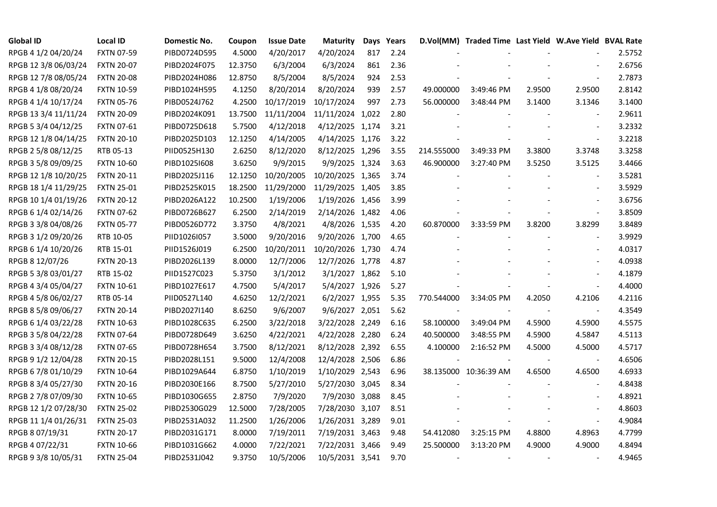| <b>Global ID</b>     | <b>Local ID</b>   | Domestic No. | Coupon  | <b>Issue Date</b> | <b>Maturity</b>  |     | Days Years |                          | D.Vol(MM) Traded Time Last Yield W.Ave Yield BVAL Rate |        |                          |        |
|----------------------|-------------------|--------------|---------|-------------------|------------------|-----|------------|--------------------------|--------------------------------------------------------|--------|--------------------------|--------|
| RPGB 4 1/2 04/20/24  | <b>FXTN 07-59</b> | PIBD0724D595 | 4.5000  | 4/20/2017         | 4/20/2024        | 817 | 2.24       |                          |                                                        |        |                          | 2.5752 |
| RPGB 12 3/8 06/03/24 | <b>FXTN 20-07</b> | PIBD2024F075 | 12.3750 | 6/3/2004          | 6/3/2024         | 861 | 2.36       |                          |                                                        |        |                          | 2.6756 |
| RPGB 12 7/8 08/05/24 | <b>FXTN 20-08</b> | PIBD2024H086 | 12.8750 | 8/5/2004          | 8/5/2024         | 924 | 2.53       |                          |                                                        |        | $\overline{\phantom{a}}$ | 2.7873 |
| RPGB 4 1/8 08/20/24  | <b>FXTN 10-59</b> | PIBD1024H595 | 4.1250  | 8/20/2014         | 8/20/2024        | 939 | 2.57       | 49.000000                | 3:49:46 PM                                             | 2.9500 | 2.9500                   | 2.8142 |
| RPGB 4 1/4 10/17/24  | <b>FXTN 05-76</b> | PIBD0524J762 | 4.2500  | 10/17/2019        | 10/17/2024       | 997 | 2.73       | 56.000000                | 3:48:44 PM                                             | 3.1400 | 3.1346                   | 3.1400 |
| RPGB 13 3/4 11/11/24 | <b>FXTN 20-09</b> | PIBD2024K091 | 13.7500 | 11/11/2004        | 11/11/2024 1,022 |     | 2.80       |                          |                                                        |        | $\blacksquare$           | 2.9611 |
| RPGB 5 3/4 04/12/25  | <b>FXTN 07-61</b> | PIBD0725D618 | 5.7500  | 4/12/2018         | 4/12/2025 1,174  |     | 3.21       |                          |                                                        |        | $\overline{\phantom{a}}$ | 3.2332 |
| RPGB 12 1/8 04/14/25 | <b>FXTN 20-10</b> | PIBD2025D103 | 12.1250 | 4/14/2005         | 4/14/2025 1,176  |     | 3.22       |                          |                                                        |        | $\blacksquare$           | 3.2218 |
| RPGB 2 5/8 08/12/25  | RTB 05-13         | PIID0525H130 | 2.6250  | 8/12/2020         | 8/12/2025 1,296  |     | 3.55       | 214.555000               | 3:49:33 PM                                             | 3.3800 | 3.3748                   | 3.3258 |
| RPGB 3 5/8 09/09/25  | <b>FXTN 10-60</b> | PIBD10251608 | 3.6250  | 9/9/2015          | 9/9/2025 1,324   |     | 3.63       | 46.900000                | 3:27:40 PM                                             | 3.5250 | 3.5125                   | 3.4466 |
| RPGB 12 1/8 10/20/25 | <b>FXTN 20-11</b> | PIBD2025J116 | 12.1250 | 10/20/2005        | 10/20/2025 1,365 |     | 3.74       |                          |                                                        |        | $\blacksquare$           | 3.5281 |
| RPGB 18 1/4 11/29/25 | <b>FXTN 25-01</b> | PIBD2525K015 | 18.2500 | 11/29/2000        | 11/29/2025 1,405 |     | 3.85       |                          |                                                        |        | $\sim$                   | 3.5929 |
| RPGB 10 1/4 01/19/26 | <b>FXTN 20-12</b> | PIBD2026A122 | 10.2500 | 1/19/2006         | 1/19/2026 1,456  |     | 3.99       |                          |                                                        |        | $\overline{\phantom{a}}$ | 3.6756 |
| RPGB 6 1/4 02/14/26  | <b>FXTN 07-62</b> | PIBD0726B627 | 6.2500  | 2/14/2019         | 2/14/2026 1,482  |     | 4.06       |                          |                                                        |        | $\blacksquare$           | 3.8509 |
| RPGB 3 3/8 04/08/26  | <b>FXTN 05-77</b> | PIBD0526D772 | 3.3750  | 4/8/2021          | 4/8/2026 1,535   |     | 4.20       | 60.870000                | 3:33:59 PM                                             | 3.8200 | 3.8299                   | 3.8489 |
| RPGB 3 1/2 09/20/26  | RTB 10-05         | PIID1026I057 | 3.5000  | 9/20/2016         | 9/20/2026 1,700  |     | 4.65       |                          |                                                        |        |                          | 3.9929 |
| RPGB 6 1/4 10/20/26  | RTB 15-01         | PIID1526J019 | 6.2500  | 10/20/2011        | 10/20/2026 1,730 |     | 4.74       |                          |                                                        |        | $\overline{\phantom{a}}$ | 4.0317 |
| RPGB 8 12/07/26      | <b>FXTN 20-13</b> | PIBD2026L139 | 8.0000  | 12/7/2006         | 12/7/2026 1,778  |     | 4.87       |                          |                                                        |        | $\blacksquare$           | 4.0938 |
| RPGB 5 3/8 03/01/27  | RTB 15-02         | PIID1527C023 | 5.3750  | 3/1/2012          | 3/1/2027 1,862   |     | 5.10       |                          |                                                        |        |                          | 4.1879 |
| RPGB 4 3/4 05/04/27  | <b>FXTN 10-61</b> | PIBD1027E617 | 4.7500  | 5/4/2017          | 5/4/2027 1,926   |     | 5.27       |                          |                                                        |        | $\omega$                 | 4.4000 |
| RPGB 4 5/8 06/02/27  | RTB 05-14         | PIID0527L140 | 4.6250  | 12/2/2021         | 6/2/2027 1,955   |     | 5.35       | 770.544000               | 3:34:05 PM                                             | 4.2050 | 4.2106                   | 4.2116 |
| RPGB 8 5/8 09/06/27  | <b>FXTN 20-14</b> | PIBD2027I140 | 8.6250  | 9/6/2007          | 9/6/2027 2,051   |     | 5.62       |                          |                                                        |        | $\sim$                   | 4.3549 |
| RPGB 6 1/4 03/22/28  | <b>FXTN 10-63</b> | PIBD1028C635 | 6.2500  | 3/22/2018         | 3/22/2028 2,249  |     | 6.16       | 58.100000                | 3:49:04 PM                                             | 4.5900 | 4.5900                   | 4.5575 |
| RPGB 3 5/8 04/22/28  | <b>FXTN 07-64</b> | PIBD0728D649 | 3.6250  | 4/22/2021         | 4/22/2028 2,280  |     | 6.24       | 40.500000                | 3:48:55 PM                                             | 4.5900 | 4.5847                   | 4.5113 |
| RPGB 3 3/4 08/12/28  | <b>FXTN 07-65</b> | PIBD0728H654 | 3.7500  | 8/12/2021         | 8/12/2028 2,392  |     | 6.55       | 4.100000                 | 2:16:52 PM                                             | 4.5000 | 4.5000                   | 4.5717 |
| RPGB 9 1/2 12/04/28  | <b>FXTN 20-15</b> | PIBD2028L151 | 9.5000  | 12/4/2008         | 12/4/2028 2,506  |     | 6.86       |                          |                                                        |        | $\blacksquare$           | 4.6506 |
| RPGB 67/8 01/10/29   | <b>FXTN 10-64</b> | PIBD1029A644 | 6.8750  | 1/10/2019         | 1/10/2029 2,543  |     | 6.96       |                          | 38.135000 10:36:39 AM                                  | 4.6500 | 4.6500                   | 4.6933 |
| RPGB 8 3/4 05/27/30  | <b>FXTN 20-16</b> | PIBD2030E166 | 8.7500  | 5/27/2010         | 5/27/2030 3,045  |     | 8.34       |                          |                                                        |        | $\blacksquare$           | 4.8438 |
| RPGB 2 7/8 07/09/30  | <b>FXTN 10-65</b> | PIBD1030G655 | 2.8750  | 7/9/2020          | 7/9/2030 3,088   |     | 8.45       |                          |                                                        |        | $\blacksquare$           | 4.8921 |
| RPGB 12 1/2 07/28/30 | <b>FXTN 25-02</b> | PIBD2530G029 | 12.5000 | 7/28/2005         | 7/28/2030 3,107  |     | 8.51       |                          |                                                        |        |                          | 4.8603 |
| RPGB 11 1/4 01/26/31 | <b>FXTN 25-03</b> | PIBD2531A032 | 11.2500 | 1/26/2006         | 1/26/2031 3,289  |     | 9.01       |                          |                                                        |        | $\blacksquare$           | 4.9084 |
| RPGB 8 07/19/31      | <b>FXTN 20-17</b> | PIBD2031G171 | 8.0000  | 7/19/2011         | 7/19/2031 3,463  |     | 9.48       | 54.412080                | 3:25:15 PM                                             | 4.8800 | 4.8963                   | 4.7799 |
| RPGB 4 07/22/31      | <b>FXTN 10-66</b> | PIBD1031G662 | 4.0000  | 7/22/2021         | 7/22/2031 3,466  |     | 9.49       | 25.500000                | 3:13:20 PM                                             | 4.9000 | 4.9000                   | 4.8494 |
| RPGB 9 3/8 10/05/31  | <b>FXTN 25-04</b> | PIBD2531J042 | 9.3750  | 10/5/2006         | 10/5/2031 3,541  |     | 9.70       | $\overline{\phantom{a}}$ |                                                        |        | $\overline{\phantom{a}}$ | 4.9465 |